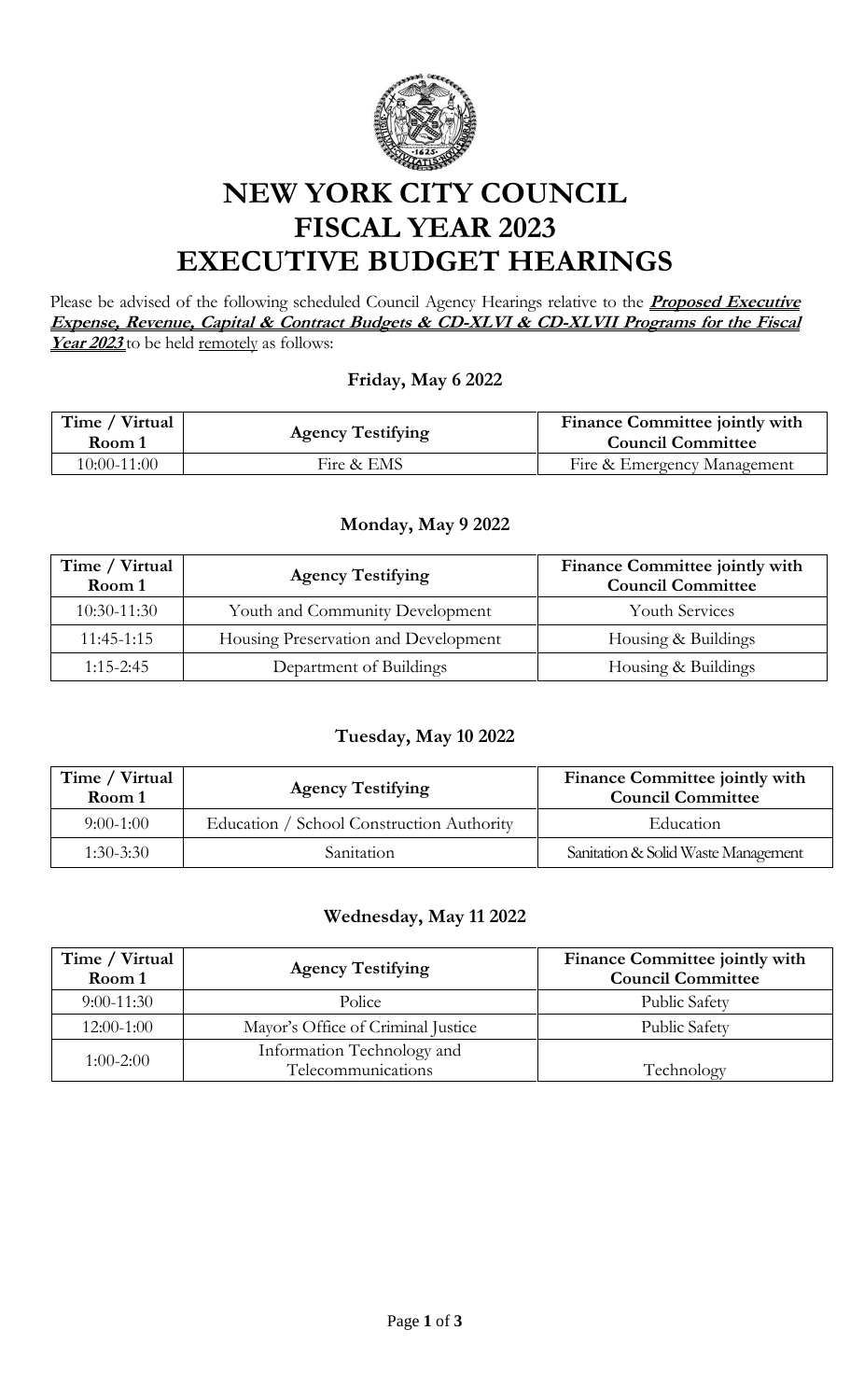

# **NEW YORK CITY COUNCIL FISCAL YEAR 2023 EXECUTIVE BUDGET HEARINGS**

Please be advised of the following scheduled Council Agency Hearings relative to the **Proposed Executive Expense, Revenue, Capital & Contract Budgets & CD-XLVI & CD-XLVII Programs for the Fiscal**  Year 2023 to be held remotely as follows:

### **Friday, May 6 2022**

| Time / Virtual<br>Room 1 | <b>Agency Testifying</b> | Finance Committee jointly with<br><b>Council Committee</b> |
|--------------------------|--------------------------|------------------------------------------------------------|
| 10:00-11:00              | Fire & EMS               | Fire & Emergency Management                                |

#### **Monday, May 9 2022**

| Time / Virtual<br>Room 1 | <b>Agency Testifying</b>             | Finance Committee jointly with<br><b>Council Committee</b> |
|--------------------------|--------------------------------------|------------------------------------------------------------|
| $10:30-11:30$            | Youth and Community Development      | <b>Youth Services</b>                                      |
| $11:45-1:15$             | Housing Preservation and Development | Housing & Buildings                                        |
| $1:15 - 2:45$            | Department of Buildings              | Housing & Buildings                                        |

### **Tuesday, May 10 2022**

| Time / Virtual<br>Room 1 | <b>Agency Testifying</b>                  | <b>Finance Committee jointly with</b><br><b>Council Committee</b> |
|--------------------------|-------------------------------------------|-------------------------------------------------------------------|
| $9:00-1:00$              | Education / School Construction Authority | Education                                                         |
| $1:30-3:30$              | Sanitation                                | Sanitation & Solid Waste Management                               |

#### **Wednesday, May 11 2022**

| Time / Virtual<br>Room 1 | <b>Agency Testifying</b>                         | Finance Committee jointly with<br><b>Council Committee</b> |
|--------------------------|--------------------------------------------------|------------------------------------------------------------|
| $9:00-11:30$             | Police                                           | <b>Public Safety</b>                                       |
| $12:00-1:00$             | Mayor's Office of Criminal Justice               | <b>Public Safety</b>                                       |
| $1:00-2:00$              | Information Technology and<br>Telecommunications | Technology                                                 |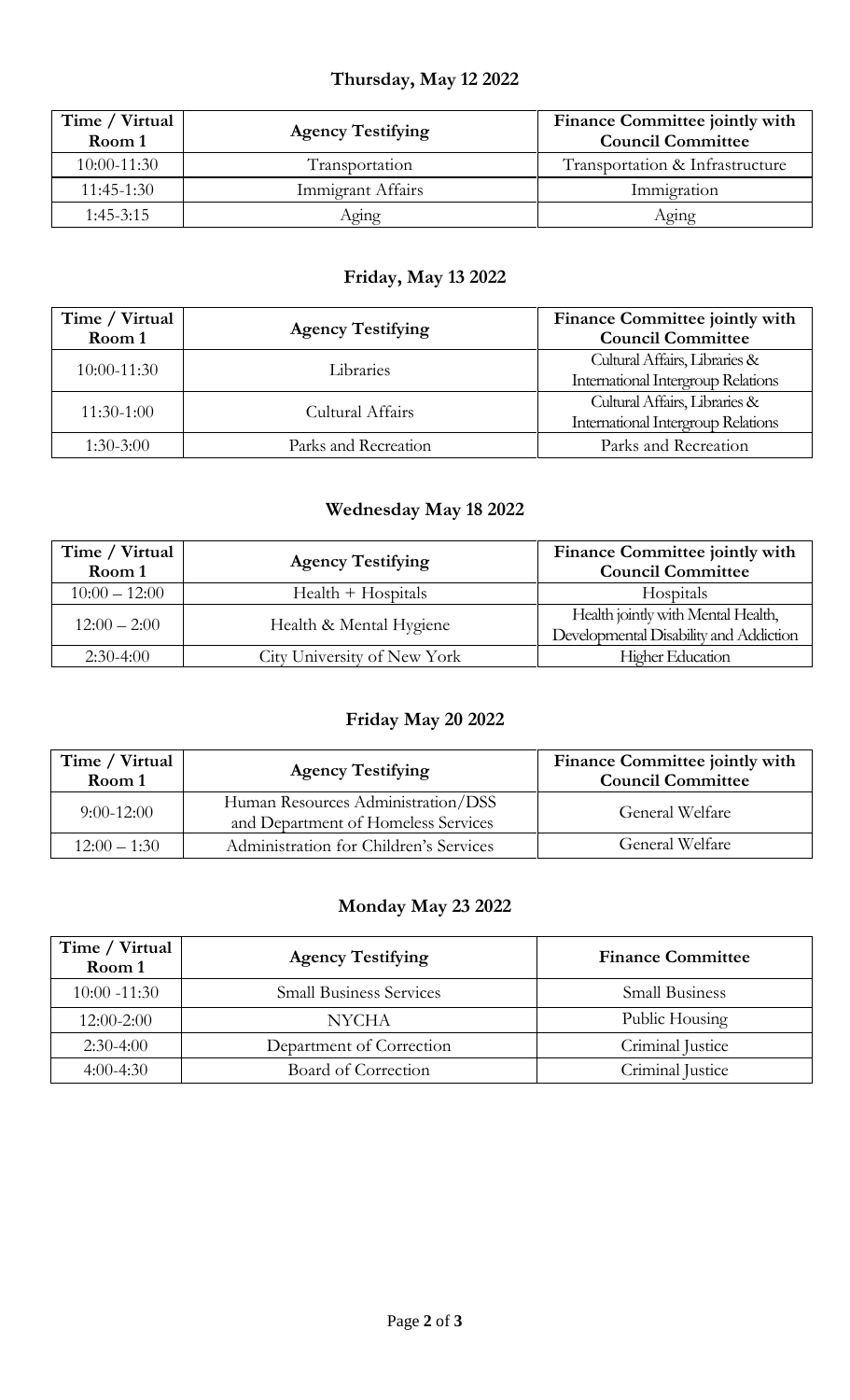## **Thursday, May 12 2022**

| Time / Virtual<br>Room 1 | <b>Agency Testifying</b> | Finance Committee jointly with<br><b>Council Committee</b> |
|--------------------------|--------------------------|------------------------------------------------------------|
| $10:00 - 11:30$          | Transportation           | Transportation & Infrastructure                            |
| $11:45-1:30$             | Immigrant Affairs        | Immigration                                                |
| $1:45-3:15$              | Aging                    | Aging                                                      |

### **Friday, May 13 2022**

| Time / Virtual<br>Room 1 | <b>Agency Testifying</b> | Finance Committee jointly with<br><b>Council Committee</b>                 |
|--------------------------|--------------------------|----------------------------------------------------------------------------|
| 10:00-11:30              | Libraries                | Cultural Affairs, Libraries &<br><b>International Intergroup Relations</b> |
| $11:30-1:00$             | Cultural Affairs         | Cultural Affairs, Libraries &<br>International Intergroup Relations        |
| $1:30-3:00$              | Parks and Recreation     | Parks and Recreation                                                       |

### **Wednesday May 18 2022**

| Time / Virtual  | <b>Agency Testifying</b>    | Finance Committee jointly with                                               |
|-----------------|-----------------------------|------------------------------------------------------------------------------|
| Room 1          |                             | <b>Council Committee</b>                                                     |
| $10:00 - 12:00$ | $Health + Hospitals$        | Hospitals                                                                    |
| $12:00 - 2:00$  | Health & Mental Hygiene     | Health jointly with Mental Health,<br>Developmental Disability and Addiction |
| $2:30-4:00$     | City University of New York | <b>Higher Education</b>                                                      |

### **Friday May 20 2022**

| Time / Virtual<br>Room 1 | <b>Agency Testifying</b>                                                  | Finance Committee jointly with<br><b>Council Committee</b> |
|--------------------------|---------------------------------------------------------------------------|------------------------------------------------------------|
| $9:00-12:00$             | Human Resources Administration/DSS<br>and Department of Homeless Services | General Welfare                                            |
| $12:00 - 1:30$           | Administration for Children's Services                                    | General Welfare                                            |

### **Monday May 23 2022**

| Time / Virtual<br>Room 1 | <b>Agency Testifying</b>       | <b>Finance Committee</b> |
|--------------------------|--------------------------------|--------------------------|
| $10:00 - 11:30$          | <b>Small Business Services</b> | <b>Small Business</b>    |
| $12:00-2:00$             | <b>NYCHA</b>                   | Public Housing           |
| $2:30-4:00$              | Department of Correction       | Criminal Justice         |
| $4:00-4:30$              | Board of Correction            | Criminal Justice         |